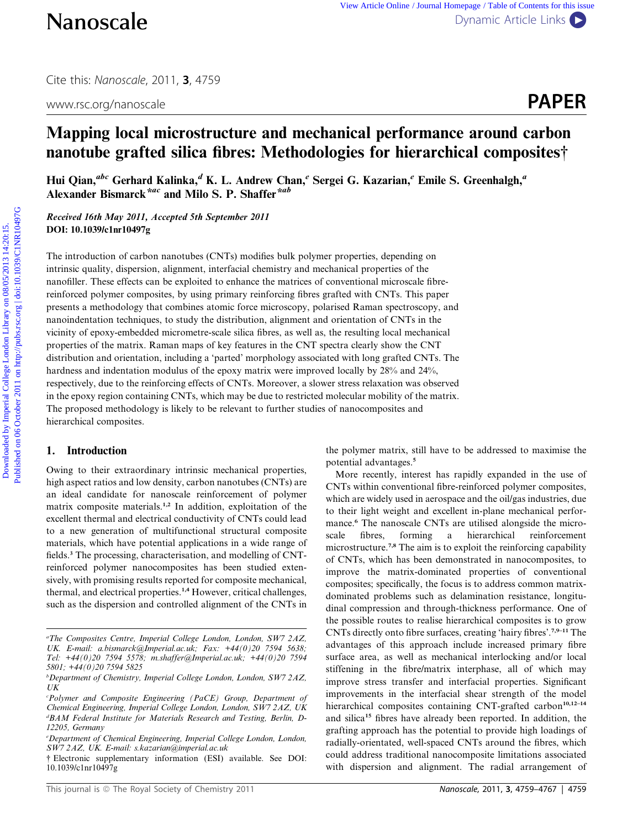Cite this: Nanoscale, 2011, <sup>3</sup>, 4759

www.rsc.org/nanoscale **PAPER** 



# Mapping local microstructure and mechanical performance around carbon nanotube grafted silica fibres: Methodologies for hierarchical composites†

Hui Qian,<sup>abc</sup> Gerhard Kalinka,<sup>d</sup> K. L. Andrew Chan,<sup>e</sup> Sergei G. Kazarian,<sup>e</sup> Emile S. Greenhalgh,<sup>a</sup> Alexander Bismarck<sup>\*ac</sup> and Milo S. P. Shaffer<sup>\*ab</sup>

Received 16th May 2011, Accepted 5th September 2011 DOI: 10.1039/c1nr10497g

The introduction of carbon nanotubes (CNTs) modifies bulk polymer properties, depending on intrinsic quality, dispersion, alignment, interfacial chemistry and mechanical properties of the nanofiller. These effects can be exploited to enhance the matrices of conventional microscale fibrereinforced polymer composites, by using primary reinforcing fibres grafted with CNTs. This paper presents a methodology that combines atomic force microscopy, polarised Raman spectroscopy, and nanoindentation techniques, to study the distribution, alignment and orientation of CNTs in the vicinity of epoxy-embedded micrometre-scale silica fibres, as well as, the resulting local mechanical properties of the matrix. Raman maps of key features in the CNT spectra clearly show the CNT distribution and orientation, including a 'parted' morphology associated with long grafted CNTs. The hardness and indentation modulus of the epoxy matrix were improved locally by 28% and 24%, respectively, due to the reinforcing effects of CNTs. Moreover, a slower stress relaxation was observed in the epoxy region containing CNTs, which may be due to restricted molecular mobility of the matrix. The proposed methodology is likely to be relevant to further studies of nanocomposites and hierarchical composites. **Nanoscale**<br>
Cire this Nanoscale, 2011, 3, 4759<br>
www.rsc.org/nanoscale<br> **Mapping local microstructure and mechanical performance around carbon**<br> **nanotube grafted silica fibres; Methodologies for hierarchical composites?** 

# 1. Introduction

Owing to their extraordinary intrinsic mechanical properties, high aspect ratios and low density, carbon nanotubes (CNTs) are an ideal candidate for nanoscale reinforcement of polymer matrix composite materials.1,2 In addition, exploitation of the excellent thermal and electrical conductivity of CNTs could lead to a new generation of multifunctional structural composite materials, which have potential applications in a wide range of fields.<sup>3</sup> The processing, characterisation, and modelling of CNTreinforced polymer nanocomposites has been studied extensively, with promising results reported for composite mechanical, thermal, and electrical properties.<sup>1,4</sup> However, critical challenges, such as the dispersion and controlled alignment of the CNTs in

the polymer matrix, still have to be addressed to maximise the potential advantages.<sup>5</sup>

More recently, interest has rapidly expanded in the use of CNTs within conventional fibre-reinforced polymer composites, which are widely used in aerospace and the oil/gas industries, due to their light weight and excellent in-plane mechanical performance.<sup>6</sup> The nanoscale CNTs are utilised alongside the microscale fibres, forming a hierarchical reinforcement microstructure.7,8 The aim is to exploit the reinforcing capability of CNTs, which has been demonstrated in nanocomposites, to improve the matrix-dominated properties of conventional composites; specifically, the focus is to address common matrixdominated problems such as delamination resistance, longitudinal compression and through-thickness performance. One of the possible routes to realise hierarchical composites is to grow CNTs directly onto fibre surfaces, creating 'hairy fibres'.7,9–11 The advantages of this approach include increased primary fibre surface area, as well as mechanical interlocking and/or local stiffening in the fibre/matrix interphase, all of which may improve stress transfer and interfacial properties. Significant improvements in the interfacial shear strength of the model hierarchical composites containing CNT-grafted carbon<sup>10,12-14</sup> and silica<sup>15</sup> fibres have already been reported. In addition, the grafting approach has the potential to provide high loadings of radially-orientated, well-spaced CNTs around the fibres, which could address traditional nanocomposite limitations associated with dispersion and alignment. The radial arrangement of

a The Composites Centre, Imperial College London, London, SW7 2AZ, UK. E-mail: a.bismarck@Imperial.ac.uk; Fax: +44(0)20 7594 5638; Tel: +44(0)20 7594 5578; m.shaffer@Imperial.ac.uk; +44(0)20 7594 5801; +44(0)20 7594 5825

<sup>&</sup>lt;sup>b</sup>Department of Chemistry, Imperial College London, London, SW7 2AZ, UK

c Polymer and Composite Engineering (PaCE) Group, Department of Chemical Engineering, Imperial College London, London, SW7 2AZ, UK d BAM Federal Institute for Materials Research and Testing, Berlin, D-12205, Germany

e Department of Chemical Engineering, Imperial College London, London, SW7 2AZ, UK. E-mail: s.kazarian@imperial.ac.uk

<sup>†</sup> Electronic supplementary information (ESI) available. See DOI: 10.1039/c1nr10497g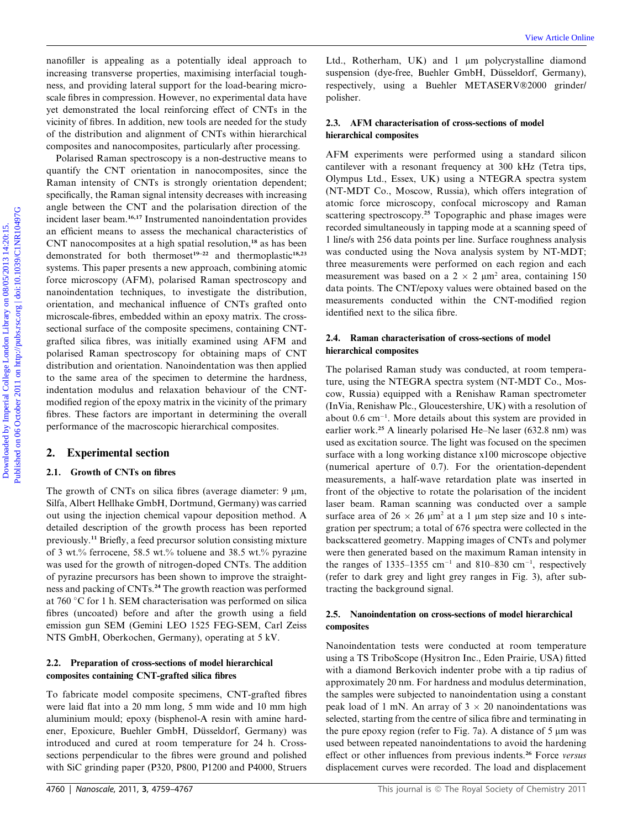nanofiller is appealing as a potentially ideal approach to increasing transverse properties, maximising interfacial toughness, and providing lateral support for the load-bearing microscale fibres in compression. However, no experimental data have yet demonstrated the local reinforcing effect of CNTs in the vicinity of fibres. In addition, new tools are needed for the study of the distribution and alignment of CNTs within hierarchical composites and nanocomposites, particularly after processing.

Polarised Raman spectroscopy is a non-destructive means to quantify the CNT orientation in nanocomposites, since the Raman intensity of CNTs is strongly orientation dependent; specifically, the Raman signal intensity decreases with increasing angle between the CNT and the polarisation direction of the incident laser beam.16,17 Instrumented nanoindentation provides an efficient means to assess the mechanical characteristics of CNT nanocomposites at a high spatial resolution,<sup>18</sup> as has been demonstrated for both thermoset<sup>19-22</sup> and thermoplastic<sup>18,23</sup> systems. This paper presents a new approach, combining atomic force microscopy (AFM), polarised Raman spectroscopy and nanoindentation techniques, to investigate the distribution, orientation, and mechanical influence of CNTs grafted onto microscale-fibres, embedded within an epoxy matrix. The crosssectional surface of the composite specimens, containing CNTgrafted silica fibres, was initially examined using AFM and polarised Raman spectroscopy for obtaining maps of CNT distribution and orientation. Nanoindentation was then applied to the same area of the specimen to determine the hardness, indentation modulus and relaxation behaviour of the CNTmodified region of the epoxy matrix in the vicinity of the primary fibres. These factors are important in determining the overall performance of the macroscopic hierarchical composites. meassliky is a measliky is at notaritally ideal approach to ELL. Rotherland UPS and 1 um polygyistiline, diminuml<br>meassage transports on minimiza interfact onegis a suggestion of two 108/05/2013 and College London College

# 2. Experimental section

# 2.1. Growth of CNTs on fibres

The growth of CNTs on silica fibres (average diameter:  $9 \mu m$ , Silfa, Albert Hellhake GmbH, Dortmund, Germany) was carried out using the injection chemical vapour deposition method. A detailed description of the growth process has been reported previously.<sup>11</sup> Briefly, a feed precursor solution consisting mixture of 3 wt.% ferrocene, 58.5 wt.% toluene and 38.5 wt.% pyrazine was used for the growth of nitrogen-doped CNTs. The addition of pyrazine precursors has been shown to improve the straightness and packing of CNTs.<sup>24</sup> The growth reaction was performed at  $760 °C$  for 1 h. SEM characterisation was performed on silica fibres (uncoated) before and after the growth using a field emission gun SEM (Gemini LEO 1525 FEG-SEM, Carl Zeiss NTS GmbH, Oberkochen, Germany), operating at 5 kV.

# 2.2. Preparation of cross-sections of model hierarchical composites containing CNT-grafted silica fibres

To fabricate model composite specimens, CNT-grafted fibres were laid flat into a 20 mm long, 5 mm wide and 10 mm high aluminium mould; epoxy (bisphenol-A resin with amine hardener, Epoxicure, Buehler GmbH, Düsseldorf, Germany) was introduced and cured at room temperature for 24 h. Crosssections perpendicular to the fibres were ground and polished with SiC grinding paper (P320, P800, P1200 and P4000, Struers

Ltd., Rotherham, UK) and  $1 \mu m$  polycrystalline diamond suspension (dye-free, Buehler GmbH, Düsseldorf, Germany), respectively, using a Buehler METASERV®2000 grinder/ polisher.

# 2.3. AFM characterisation of cross-sections of model hierarchical composites

AFM experiments were performed using a standard silicon cantilever with a resonant frequency at 300 kHz (Tetra tips, Olympus Ltd., Essex, UK) using a NTEGRA spectra system (NT-MDT Co., Moscow, Russia), which offers integration of atomic force microscopy, confocal microscopy and Raman scattering spectroscopy.<sup>25</sup> Topographic and phase images were recorded simultaneously in tapping mode at a scanning speed of 1 line/s with 256 data points per line. Surface roughness analysis was conducted using the Nova analysis system by NT-MDT; three measurements were performed on each region and each measurement was based on a  $2 \times 2 \mu m^2$  area, containing 150 data points. The CNT/epoxy values were obtained based on the measurements conducted within the CNT-modified region identified next to the silica fibre.

# 2.4. Raman characterisation of cross-sections of model hierarchical composites

The polarised Raman study was conducted, at room temperature, using the NTEGRA spectra system (NT-MDT Co., Moscow, Russia) equipped with a Renishaw Raman spectrometer (InVia, Renishaw Plc., Gloucestershire, UK) with a resolution of about  $0.6 \text{ cm}^{-1}$ . More details about this system are provided in earlier work.<sup>25</sup> A linearly polarised He–Ne laser (632.8 nm) was used as excitation source. The light was focused on the specimen surface with a long working distance x100 microscope objective (numerical aperture of 0.7). For the orientation-dependent measurements, a half-wave retardation plate was inserted in front of the objective to rotate the polarisation of the incident laser beam. Raman scanning was conducted over a sample surface area of  $26 \times 26 \mu m^2$  at a 1  $\mu$ m step size and 10 s integration per spectrum; a total of 676 spectra were collected in the backscattered geometry. Mapping images of CNTs and polymer were then generated based on the maximum Raman intensity in the ranges of 1335–1355 cm<sup>-1</sup> and 810–830 cm<sup>-1</sup>, respectively (refer to dark grey and light grey ranges in Fig. 3), after subtracting the background signal.

## 2.5. Nanoindentation on cross-sections of model hierarchical composites

Nanoindentation tests were conducted at room temperature using a TS TriboScope (Hysitron Inc., Eden Prairie, USA) fitted with a diamond Berkovich indenter probe with a tip radius of approximately 20 nm. For hardness and modulus determination, the samples were subjected to nanoindentation using a constant peak load of 1 mN. An array of  $3 \times 20$  nanoindentations was selected, starting from the centre of silica fibre and terminating in the pure epoxy region (refer to Fig. 7a). A distance of 5  $\mu$ m was used between repeated nanoindentations to avoid the hardening effect or other influences from previous indents.<sup>26</sup> Force versus displacement curves were recorded. The load and displacement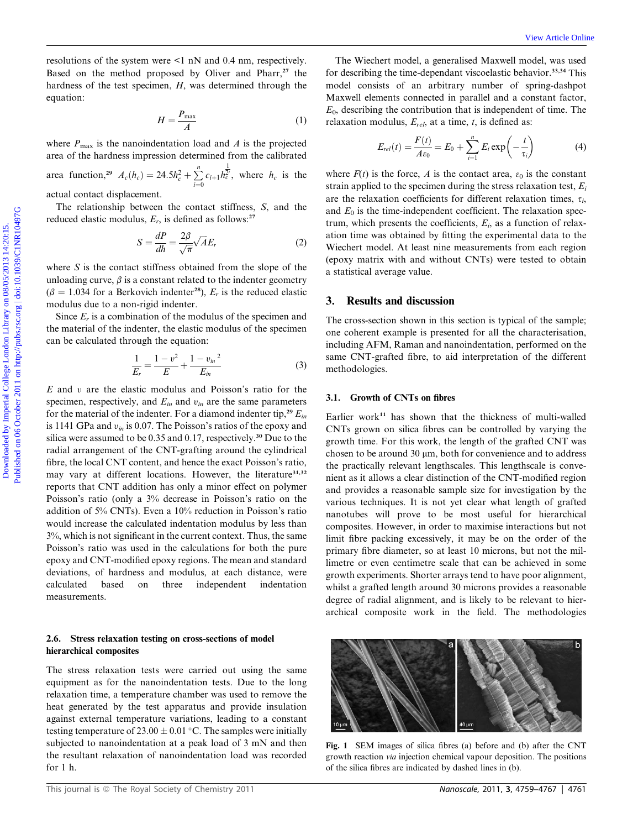resolutions of the system were <1 nN and 0.4 nm, respectively. Based on the method proposed by Oliver and Pharr,<sup>27</sup> the hardness of the test specimen, H, was determined through the equation:

$$
H = \frac{P_{\text{max}}}{A} \tag{1}
$$

where  $P_{\text{max}}$  is the nanoindentation load and A is the projected area of the hardness impression determined from the calibrated

area function,<sup>29</sup>  $A_c(h_c) = 24.5h_c^2 + \sum_{i=0}^{n} c_{i+1} h_c^{\frac{1}{2i}}$ , where  $h_c$  is the

actual contact displacement.

The relationship between the contact stiffness, S, and the reduced elastic modulus,  $E_r$ , is defined as follows:<sup>27</sup>

$$
S = \frac{dP}{dh} = \frac{2\beta}{\sqrt{\pi}} \sqrt{A} E_r
$$
 (2)

where  $S$  is the contact stiffness obtained from the slope of the unloading curve,  $\beta$  is a constant related to the indenter geometry  $(\beta = 1.034$  for a Berkovich indenter<sup>28</sup>),  $E_r$  is the reduced elastic modulus due to a non-rigid indenter.

Since  $E_r$  is a combination of the modulus of the specimen and the material of the indenter, the elastic modulus of the specimen can be calculated through the equation:

$$
\frac{1}{E_r} = \frac{1 - v^2}{E} + \frac{1 - v_m^2}{E_m} \tag{3}
$$

 $E$  and  $v$  are the elastic modulus and Poisson's ratio for the specimen, respectively, and  $E_{in}$  and  $v_{in}$  are the same parameters for the material of the indenter. For a diamond indenter tip,<sup>29</sup>  $E_{in}$ is 1141 GPa and  $v_{in}$  is 0.07. The Poisson's ratios of the epoxy and silica were assumed to be 0.35 and 0.17, respectively.<sup>30</sup> Due to the radial arrangement of the CNT-grafting around the cylindrical fibre, the local CNT content, and hence the exact Poisson's ratio, may vary at different locations. However, the literature<sup>31,32</sup> reports that CNT addition has only a minor effect on polymer Poisson's ratio (only a 3% decrease in Poisson's ratio on the addition of 5% CNTs). Even a 10% reduction in Poisson's ratio would increase the calculated indentation modulus by less than 3%, which is not significant in the current context. Thus, the same Poisson's ratio was used in the calculations for both the pure epoxy and CNT-modified epoxy regions. The mean and standard deviations, of hardness and modulus, at each distance, were calculated based on three independent indentation measurements.

#### 2.6. Stress relaxation testing on cross-sections of model hierarchical composites

The stress relaxation tests were carried out using the same equipment as for the nanoindentation tests. Due to the long relaxation time, a temperature chamber was used to remove the heat generated by the test apparatus and provide insulation against external temperature variations, leading to a constant testing temperature of  $23.00 \pm 0.01$  °C. The samples were initially subjected to nanoindentation at a peak load of 3 mN and then the resultant relaxation of nanoindentation load was recorded for 1 h.

The Wiechert model, a generalised Maxwell model, was used for describing the time-dependant viscoelastic behavior.<sup>33,34</sup> This model consists of an arbitrary number of spring-dashpot Maxwell elements connected in parallel and a constant factor,  $E<sub>0</sub>$ , describing the contribution that is independent of time. The relaxation modulus,  $E_{rel}$ , at a time, t, is defined as:

$$
E_{rel}(t) = \frac{F(t)}{A\varepsilon_0} = E_0 + \sum_{i=1}^{n} E_i \exp\left(-\frac{t}{\tau_i}\right)
$$
(4)

where  $F(t)$  is the force, A is the contact area,  $\varepsilon_0$  is the constant strain applied to the specimen during the stress relaxation test,  $E_i$ are the relaxation coefficients for different relaxation times,  $\tau_i$ , and  $E_0$  is the time-independent coefficient. The relaxation spectrum, which presents the coefficients,  $E_i$ , as a function of relaxation time was obtained by fitting the experimental data to the Wiechert model. At least nine measurements from each region (epoxy matrix with and without CNTs) were tested to obtain a statistical average value. coolations of the system were st n N and Ot mn, respectively. The Westert model, a generalised Maxvel convents on the including properties the constraint viewed by product and properties the inclusion constraint interpert

# 3. Results and discussion

The cross-section shown in this section is typical of the sample; one coherent example is presented for all the characterisation, including AFM, Raman and nanoindentation, performed on the same CNT-grafted fibre, to aid interpretation of the different methodologies.

#### 3.1. Growth of CNTs on fibres

Earlier work<sup>11</sup> has shown that the thickness of multi-walled CNTs grown on silica fibres can be controlled by varying the growth time. For this work, the length of the grafted CNT was chosen to be around  $30 \mu m$ , both for convenience and to address the practically relevant lengthscales. This lengthscale is convenient as it allows a clear distinction of the CNT-modified region and provides a reasonable sample size for investigation by the various techniques. It is not yet clear what length of grafted nanotubes will prove to be most useful for hierarchical composites. However, in order to maximise interactions but not limit fibre packing excessively, it may be on the order of the primary fibre diameter, so at least 10 microns, but not the millimetre or even centimetre scale that can be achieved in some growth experiments. Shorter arrays tend to have poor alignment, whilst a grafted length around 30 microns provides a reasonable degree of radial alignment, and is likely to be relevant to hierarchical composite work in the field. The methodologies



Fig. 1 SEM images of silica fibres (a) before and (b) after the CNT growth reaction via injection chemical vapour deposition. The positions of the silica fibres are indicated by dashed lines in (b).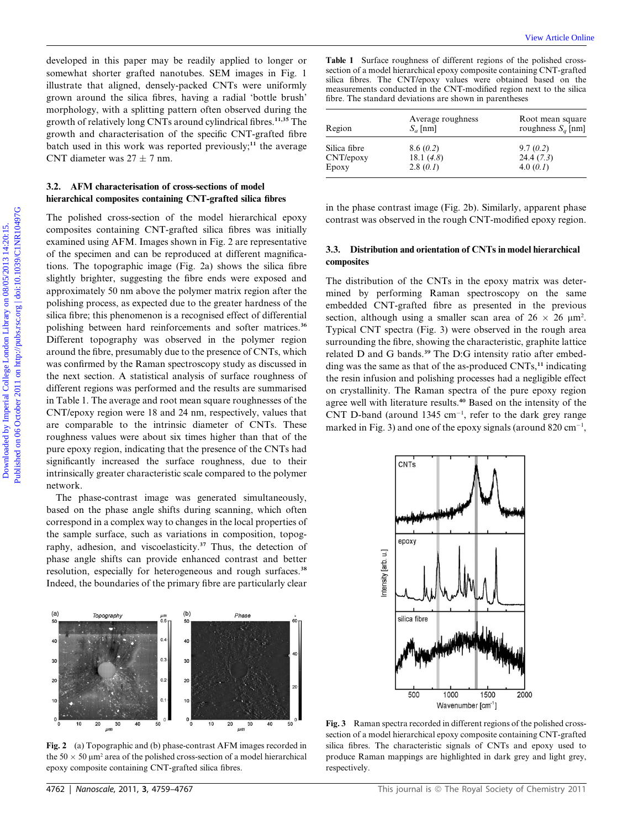developed in this paper may be readily applied to longer or somewhat shorter grafted nanotubes. SEM images in Fig. 1 illustrate that aligned, densely-packed CNTs were uniformly grown around the silica fibres, having a radial 'bottle brush' morphology, with a splitting pattern often observed during the growth of relatively long CNTs around cylindrical fibres.<sup>11,35</sup> The growth and characterisation of the specific CNT-grafted fibre batch used in this work was reported previously;<sup>11</sup> the average CNT diameter was  $27 \pm 7$  nm.

### 3.2. AFM characterisation of cross-sections of model hierarchical composites containing CNT-grafted silica fibres

The polished cross-section of the model hierarchical epoxy composites containing CNT-grafted silica fibres was initially examined using AFM. Images shown in Fig. 2 are representative of the specimen and can be reproduced at different magnifications. The topographic image (Fig. 2a) shows the silica fibre slightly brighter, suggesting the fibre ends were exposed and approximately 50 nm above the polymer matrix region after the polishing process, as expected due to the greater hardness of the silica fibre; this phenomenon is a recognised effect of differential polishing between hard reinforcements and softer matrices.<sup>36</sup> Different topography was observed in the polymer region around the fibre, presumably due to the presence of CNTs, which was confirmed by the Raman spectroscopy study as discussed in the next section. A statistical analysis of surface roughness of different regions was performed and the results are summarised in Table 1. The average and root mean square roughnesses of the CNT/epoxy region were 18 and 24 nm, respectively, values that are comparable to the intrinsic diameter of CNTs. These roughness values were about six times higher than that of the pure epoxy region, indicating that the presence of the CNTs had significantly increased the surface roughness, due to their intrinsically greater characteristic scale compared to the polymer network. developed in this paper may be zeadily applied to longer or **Table 1** Sorince completes of different regions on the simulation communitor Communicol Communicol Communicol Communicol Communicol Communicol Communicol Commun

The phase-contrast image was generated simultaneously, based on the phase angle shifts during scanning, which often correspond in a complex way to changes in the local properties of the sample surface, such as variations in composition, topography, adhesion, and viscoelasticity.<sup>37</sup> Thus, the detection of phase angle shifts can provide enhanced contrast and better resolution, especially for heterogeneous and rough surfaces.<sup>38</sup> Indeed, the boundaries of the primary fibre are particularly clear



Fig. 2 (a) Topographic and (b) phase-contrast AFM images recorded in the  $50 \times 50 \mu m^2$  area of the polished cross-section of a model hierarchical epoxy composite containing CNT-grafted silica fibres.

Table 1 Surface roughness of different regions of the polished crosssection of a model hierarchical epoxy composite containing CNT-grafted silica fibres. The CNT/epoxy values were obtained based on the measurements conducted in the CNT-modified region next to the silical fibre. The standard deviations are shown in parentheses

| Region                    | Average roughness<br>$S_a$ [nm] | Root mean square<br>roughness $S_a$ [nm] |
|---------------------------|---------------------------------|------------------------------------------|
| Silica fibre<br>CNT/epoxy | 8.6(0.2)<br>18.1 $(4.8)$        | 9.7(0.2)<br>24.4(7.3)                    |
| Epoxy                     | 2.8(0.1)                        | 4.0 $(0.1)$                              |

in the phase contrast image (Fig. 2b). Similarly, apparent phase contrast was observed in the rough CNT-modified epoxy region.

#### 3.3. Distribution and orientation of CNTs in model hierarchical composites

The distribution of the CNTs in the epoxy matrix was determined by performing Raman spectroscopy on the same embedded CNT-grafted fibre as presented in the previous section, although using a smaller scan area of  $26 \times 26 \text{ }\mu\text{m}^2$ . Typical CNT spectra (Fig. 3) were observed in the rough area surrounding the fibre, showing the characteristic, graphite lattice related D and G bands.<sup>39</sup> The D:G intensity ratio after embedding was the same as that of the as-produced CNTs,<sup>11</sup> indicating the resin infusion and polishing processes had a negligible effect on crystallinity. The Raman spectra of the pure epoxy region agree well with literature results.<sup>40</sup> Based on the intensity of the CNT D-band (around  $1345 \text{ cm}^{-1}$ , refer to the dark grey range marked in Fig. 3) and one of the epoxy signals (around  $820 \text{ cm}^{-1}$ ,



Fig. 3 Raman spectra recorded in different regions of the polished crosssection of a model hierarchical epoxy composite containing CNT-grafted silica fibres. The characteristic signals of CNTs and epoxy used to produce Raman mappings are highlighted in dark grey and light grey, respectively.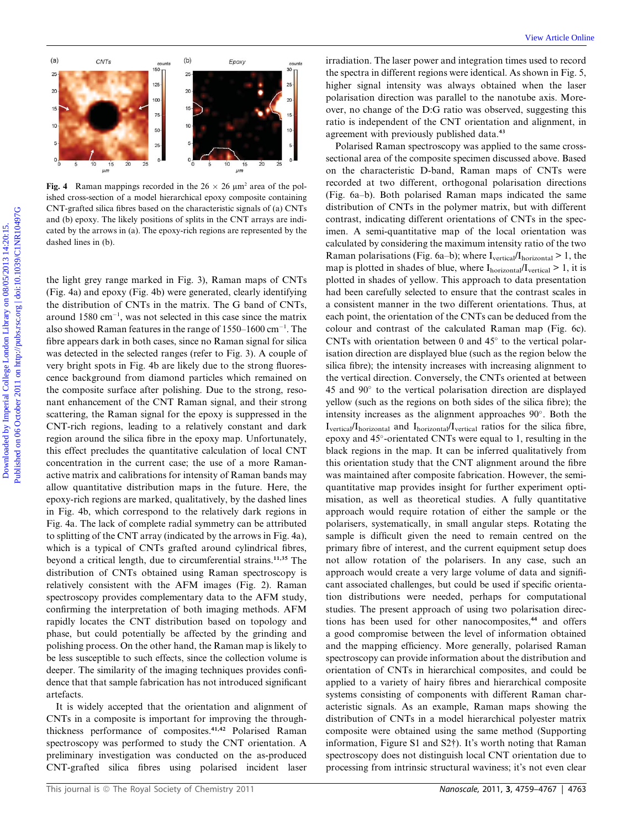

Fig. 4 Raman mappings recorded in the  $26 \times 26$  µm<sup>2</sup> area of the polished cross-section of a model hierarchical epoxy composite containing CNT-grafted silica fibres based on the characteristic signals of (a) CNTs and (b) epoxy. The likely positions of splits in the CNT arrays are indicated by the arrows in (a). The epoxy-rich regions are represented by the dashed lines in (b).

the light grey range marked in Fig. 3), Raman maps of CNTs (Fig. 4a) and epoxy (Fig. 4b) were generated, clearly identifying the distribution of CNTs in the matrix. The G band of CNTs, around  $1580 \text{ cm}^{-1}$ , was not selected in this case since the matrix also showed Raman features in the range of  $1550-1600$  cm<sup>-1</sup>. The fibre appears dark in both cases, since no Raman signal for silica was detected in the selected ranges (refer to Fig. 3). A couple of very bright spots in Fig. 4b are likely due to the strong fluorescence background from diamond particles which remained on the composite surface after polishing. Due to the strong, resonant enhancement of the CNT Raman signal, and their strong scattering, the Raman signal for the epoxy is suppressed in the CNT-rich regions, leading to a relatively constant and dark region around the silica fibre in the epoxy map. Unfortunately, this effect precludes the quantitative calculation of local CNT concentration in the current case; the use of a more Ramanactive matrix and calibrations for intensity of Raman bands may allow quantitative distribution maps in the future. Here, the epoxy-rich regions are marked, qualitatively, by the dashed lines in Fig. 4b, which correspond to the relatively dark regions in Fig. 4a. The lack of complete radial symmetry can be attributed to splitting of the CNT array (indicated by the arrows in Fig. 4a), which is a typical of CNTs grafted around cylindrical fibres, beyond a critical length, due to circumferential strains.11,35 The distribution of CNTs obtained using Raman spectroscopy is relatively consistent with the AFM images (Fig. 2). Raman spectroscopy provides complementary data to the AFM study, confirming the interpretation of both imaging methods. AFM rapidly locates the CNT distribution based on topology and phase, but could potentially be affected by the grinding and polishing process. On the other hand, the Raman map is likely to be less susceptible to such effects, since the collection volume is deeper. The similarity of the imaging techniques provides confidence that that sample fabrication has not introduced significant artefacts.

It is widely accepted that the orientation and alignment of CNTs in a composite is important for improving the throughthickness performance of composites.41,42 Polarised Raman spectroscopy was performed to study the CNT orientation. A preliminary investigation was conducted on the as-produced CNT-grafted silica fibres using polarised incident laser

irradiation. The laser power and integration times used to record the spectra in different regions were identical. As shown in Fig. 5, higher signal intensity was always obtained when the laser polarisation direction was parallel to the nanotube axis. Moreover, no change of the D:G ratio was observed, suggesting this ratio is independent of the CNT orientation and alignment, in agreement with previously published data.<sup>43</sup>

Polarised Raman spectroscopy was applied to the same crosssectional area of the composite specimen discussed above. Based on the characteristic D-band, Raman maps of CNTs were recorded at two different, orthogonal polarisation directions (Fig. 6a–b). Both polarised Raman maps indicated the same distribution of CNTs in the polymer matrix, but with different contrast, indicating different orientations of CNTs in the specimen. A semi-quantitative map of the local orientation was calculated by considering the maximum intensity ratio of the two Raman polarisations (Fig. 6a–b); where  $I_{vertical}/I_{horizontal} > 1$ , the map is plotted in shades of blue, where  $I<sub>horizontal</sub>/I<sub>vertical</sub> > 1$ , it is plotted in shades of yellow. This approach to data presentation had been carefully selected to ensure that the contrast scales in a consistent manner in the two different orientations. Thus, at each point, the orientation of the CNTs can be deduced from the colour and contrast of the calculated Raman map (Fig. 6c). CNTs with orientation between 0 and  $45^{\circ}$  to the vertical polarisation direction are displayed blue (such as the region below the silica fibre); the intensity increases with increasing alignment to the vertical direction. Conversely, the CNTs oriented at between  $45$  and  $90^\circ$  to the vertical polarisation direction are displayed yellow (such as the regions on both sides of the silica fibre); the intensity increases as the alignment approaches 90°. Both the Ivertical/Ihorizontal and Ihorizontal/Ivertical ratios for the silica fibre, epoxy and 45°-orientated CNTs were equal to 1, resulting in the black regions in the map. It can be inferred qualitatively from this orientation study that the CNT alignment around the fibre was maintained after composite fabrication. However, the semiquantitative map provides insight for further experiment optimisation, as well as theoretical studies. A fully quantitative approach would require rotation of either the sample or the polarisers, systematically, in small angular steps. Rotating the sample is difficult given the need to remain centred on the primary fibre of interest, and the current equipment setup does not allow rotation of the polarisers. In any case, such an approach would create a very large volume of data and significant associated challenges, but could be used if specific orientation distributions were needed, perhaps for computational studies. The present approach of using two polarisation directions has been used for other nanocomposites,<sup>44</sup> and offers a good compromise between the level of information obtained and the mapping efficiency. More generally, polarised Raman spectroscopy can provide information about the distribution and orientation of CNTs in hierarchical composites, and could be applied to a variety of hairy fibres and hierarchical composite systems consisting of components with different Raman characteristic signals. As an example, Raman maps showing the distribution of CNTs in a model hierarchical polyester matrix composite were obtained using the same method (Supporting information, Figure S1 and S2†). It's worth noting that Raman spectroscopy does not distinguish local CNT orientation due to processing from intrinsic structural waviness; it's not even clear Download College London College London Library on the station of the specifical College London Library on the specifical College London Library on the specifical College London Library on the specifical College London Lib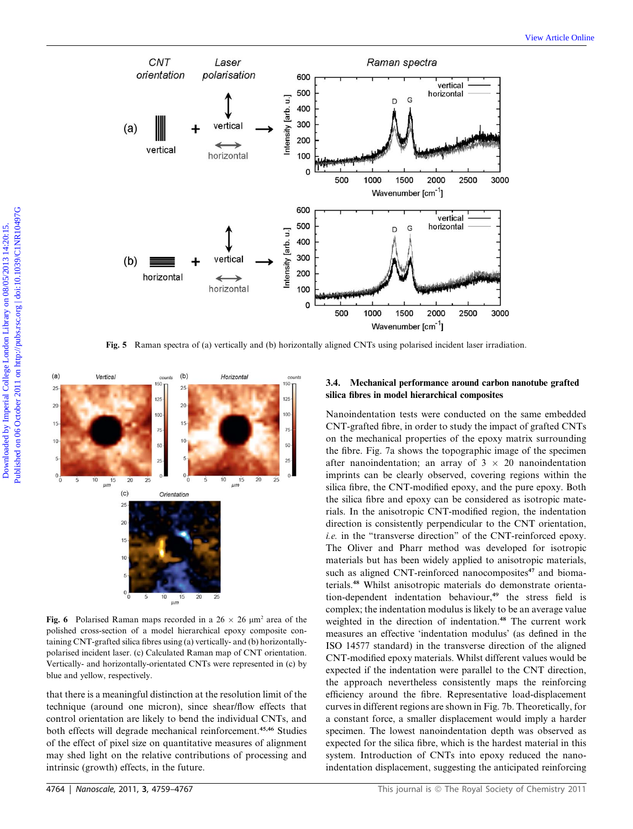

Fig. 5 Raman spectra of (a) vertically and (b) horizontally aligned CNTs using polarised incident laser irradiation.



Fig. 6 Polarised Raman maps recorded in a  $26 \times 26 \mu m^2$  area of the polished cross-section of a model hierarchical epoxy composite containing CNT-grafted silica fibres using (a) vertically- and (b) horizontallypolarised incident laser. (c) Calculated Raman map of CNT orientation. Vertically- and horizontally-orientated CNTs were represented in (c) by blue and yellow, respectively.

that there is a meaningful distinction at the resolution limit of the technique (around one micron), since shear/flow effects that control orientation are likely to bend the individual CNTs, and both effects will degrade mechanical reinforcement.45,46 Studies of the effect of pixel size on quantitative measures of alignment may shed light on the relative contributions of processing and intrinsic (growth) effects, in the future.

# 3.4. Mechanical performance around carbon nanotube grafted silica fibres in model hierarchical composites

Nanoindentation tests were conducted on the same embedded CNT-grafted fibre, in order to study the impact of grafted CNTs on the mechanical properties of the epoxy matrix surrounding the fibre. Fig. 7a shows the topographic image of the specimen after nanoindentation; an array of  $3 \times 20$  nanoindentation imprints can be clearly observed, covering regions within the silica fibre, the CNT-modified epoxy, and the pure epoxy. Both the silica fibre and epoxy can be considered as isotropic materials. In the anisotropic CNT-modified region, the indentation direction is consistently perpendicular to the CNT orientation, i.e. in the "transverse direction" of the CNT-reinforced epoxy. The Oliver and Pharr method was developed for isotropic materials but has been widely applied to anisotropic materials, such as aligned CNT-reinforced nanocomposites<sup>47</sup> and biomaterials.<sup>48</sup> Whilst anisotropic materials do demonstrate orientation-dependent indentation behaviour,<sup>49</sup> the stress field is complex; the indentation modulus is likely to be an average value weighted in the direction of indentation.<sup>48</sup> The current work measures an effective 'indentation modulus' (as defined in the ISO 14577 standard) in the transverse direction of the aligned CNT-modified epoxy materials. Whilst different values would be expected if the indentation were parallel to the CNT direction, the approach nevertheless consistently maps the reinforcing efficiency around the fibre. Representative load-displacement curves in different regions are shown in Fig. 7b. Theoretically, for a constant force, a smaller displacement would imply a harder specimen. The lowest nanoindentation depth was observed as expected for the silica fibre, which is the hardest material in this system. Introduction of CNTs into epoxy reduced the nanoindentation displacement, suggesting the anticipated reinforcing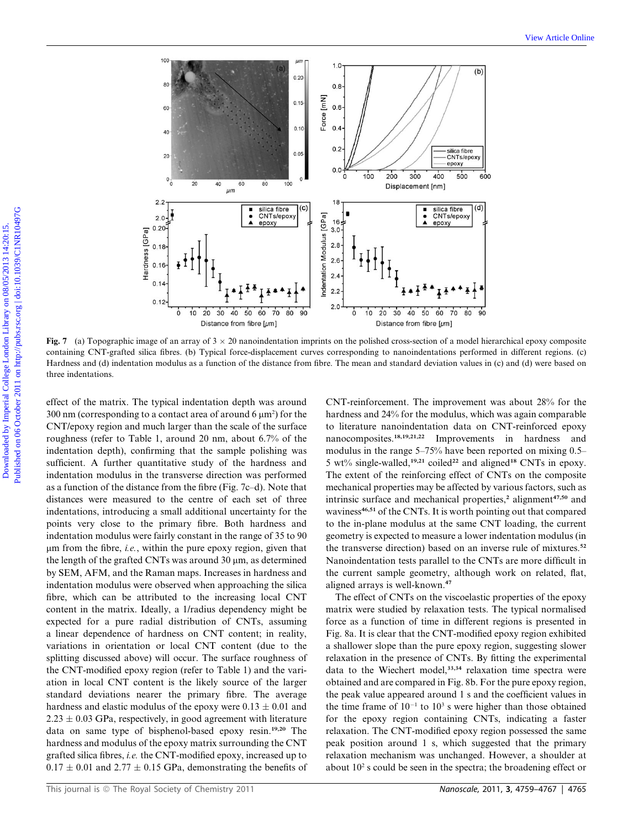

Fig. 7 (a) Topographic image of an array of  $3 \times 20$  nanoindentation imprints on the polished cross-section of a model hierarchical epoxy composite containing CNT-grafted silica fibres. (b) Typical force-displacement curves corresponding to nanoindentations performed in different regions. (c) Hardness and (d) indentation modulus as a function of the distance from fibre. The mean and standard deviation values in (c) and (d) were based on three indentations.

effect of the matrix. The typical indentation depth was around  $300$  nm (corresponding to a contact area of around 6  $\mu$ m<sup>2</sup>) for the CNT/epoxy region and much larger than the scale of the surface roughness (refer to Table 1, around 20 nm, about 6.7% of the indentation depth), confirming that the sample polishing was sufficient. A further quantitative study of the hardness and indentation modulus in the transverse direction was performed as a function of the distance from the fibre (Fig. 7c–d). Note that distances were measured to the centre of each set of three indentations, introducing a small additional uncertainty for the points very close to the primary fibre. Both hardness and indentation modulus were fairly constant in the range of 35 to 90  $\mu$ m from the fibre, i.e., within the pure epoxy region, given that the length of the grafted CNTs was around  $30 \mu m$ , as determined by SEM, AFM, and the Raman maps. Increases in hardness and indentation modulus were observed when approaching the silica fibre, which can be attributed to the increasing local CNT content in the matrix. Ideally, a 1/radius dependency might be expected for a pure radial distribution of CNTs, assuming a linear dependence of hardness on CNT content; in reality, variations in orientation or local CNT content (due to the splitting discussed above) will occur. The surface roughness of the CNT-modified epoxy region (refer to Table 1) and the variation in local CNT content is the likely source of the larger standard deviations nearer the primary fibre. The average hardness and elastic modulus of the epoxy were  $0.13 \pm 0.01$  and  $2.23 \pm 0.03$  GPa, respectively, in good agreement with literature data on same type of bisphenol-based epoxy resin.19,20 The hardness and modulus of the epoxy matrix surrounding the CNT grafted silica fibres, i.e. the CNT-modified epoxy, increased up to  $0.17 \pm 0.01$  and  $2.77 \pm 0.15$  GPa, demonstrating the benefits of CNT-reinforcement. The improvement was about 28% for the hardness and 24% for the modulus, which was again comparable to literature nanoindentation data on CNT-reinforced epoxy nanocomposites.18,19,21,22 Improvements in hardness and modulus in the range 5–75% have been reported on mixing 0.5– 5 wt% single-walled,<sup>19,21</sup> coiled<sup>22</sup> and aligned<sup>18</sup> CNTs in epoxy. The extent of the reinforcing effect of CNTs on the composite mechanical properties may be affected by various factors, such as intrinsic surface and mechanical properties,<sup>2</sup> alignment<sup>47,50</sup> and waviness<sup>46,51</sup> of the CNTs. It is worth pointing out that compared to the in-plane modulus at the same CNT loading, the current geometry is expected to measure a lower indentation modulus (in the transverse direction) based on an inverse rule of mixtures.<sup>52</sup> Nanoindentation tests parallel to the CNTs are more difficult in the current sample geometry, although work on related, flat, aligned arrays is well-known.<sup>47</sup>

The effect of CNTs on the viscoelastic properties of the epoxy matrix were studied by relaxation tests. The typical normalised force as a function of time in different regions is presented in Fig. 8a. It is clear that the CNT-modified epoxy region exhibited a shallower slope than the pure epoxy region, suggesting slower relaxation in the presence of CNTs. By fitting the experimental data to the Wiechert model,<sup>33,34</sup> relaxation time spectra were obtained and are compared in Fig. 8b. For the pure epoxy region, the peak value appeared around 1 s and the coefficient values in the time frame of  $10^{-1}$  to  $10^3$  s were higher than those obtained for the epoxy region containing CNTs, indicating a faster relaxation. The CNT-modified epoxy region possessed the same peak position around 1 s, which suggested that the primary relaxation mechanism was unchanged. However, a shoulder at about  $10<sup>2</sup>$  s could be seen in the spectra; the broadening effect or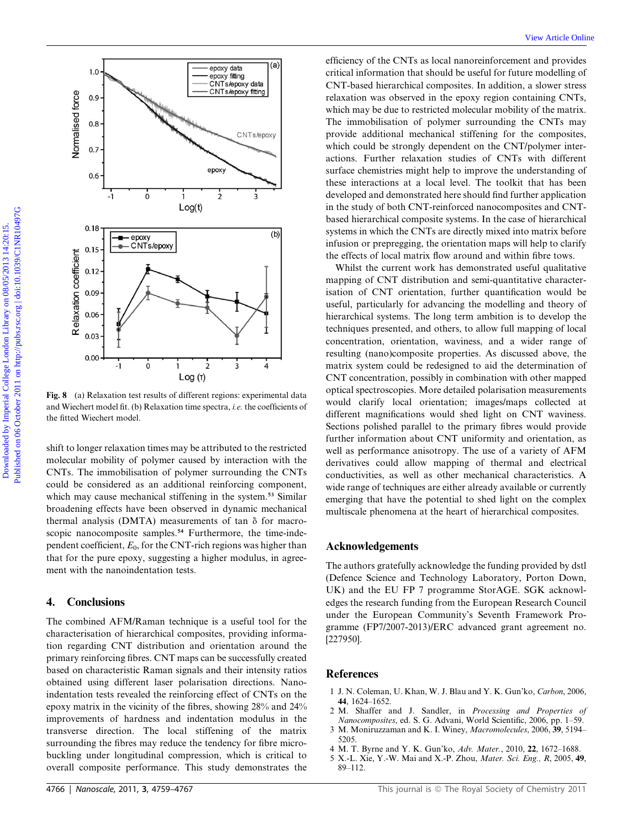

Fig. 8 (a) Relaxation test results of different regions: experimental data and Wiechert model fit. (b) Relaxation time spectra, i.e. the coefficients of the fitted Wiechert model.

shift to longer relaxation times may be attributed to the restricted molecular mobility of polymer caused by interaction with the CNTs. The immobilisation of polymer surrounding the CNTs could be considered as an additional reinforcing component, which may cause mechanical stiffening in the system.<sup>53</sup> Similar broadening effects have been observed in dynamic mechanical thermal analysis (DMTA) measurements of tan  $\delta$  for macroscopic nanocomposite samples.<sup>54</sup> Furthermore, the time-independent coefficient,  $E_0$ , for the CNT-rich regions was higher than that for the pure epoxy, suggesting a higher modulus, in agreement with the nanoindentation tests.

# 4. Conclusions

The combined AFM/Raman technique is a useful tool for the characterisation of hierarchical composites, providing information regarding CNT distribution and orientation around the primary reinforcing fibres. CNT maps can be successfully created based on characteristic Raman signals and their intensity ratios obtained using different laser polarisation directions. Nanoindentation tests revealed the reinforcing effect of CNTs on the epoxy matrix in the vicinity of the fibres, showing 28% and 24% improvements of hardness and indentation modulus in the transverse direction. The local stiffening of the matrix surrounding the fibres may reduce the tendency for fibre microbuckling under longitudinal compression, which is critical to overall composite performance. This study demonstrates the

efficiency of the CNTs as local nanoreinforcement and provides critical information that should be useful for future modelling of CNT-based hierarchical composites. In addition, a slower stress relaxation was observed in the epoxy region containing CNTs, which may be due to restricted molecular mobility of the matrix. The immobilisation of polymer surrounding the CNTs may provide additional mechanical stiffening for the composites, which could be strongly dependent on the CNT/polymer interactions. Further relaxation studies of CNTs with different surface chemistries might help to improve the understanding of these interactions at a local level. The toolkit that has been developed and demonstrated here should find further application in the study of both CNT-reinforced nanocomposites and CNTbased hierarchical composite systems. In the case of hierarchical systems in which the CNTs are directly mixed into matrix before infusion or prepregging, the orientation maps will help to clarify the effects of local matrix flow around and within fibre tows.

Whilst the current work has demonstrated useful qualitative mapping of CNT distribution and semi-quantitative characterisation of CNT orientation, further quantification would be useful, particularly for advancing the modelling and theory of hierarchical systems. The long term ambition is to develop the techniques presented, and others, to allow full mapping of local concentration, orientation, waviness, and a wider range of resulting (nano)composite properties. As discussed above, the matrix system could be redesigned to aid the determination of CNT concentration, possibly in combination with other mapped optical spectroscopies. More detailed polarisation measurements would clarify local orientation; images/maps collected at different magnifications would shed light on CNT waviness. Sections polished parallel to the primary fibres would provide further information about CNT uniformity and orientation, as well as performance anisotropy. The use of a variety of AFM derivatives could allow mapping of thermal and electrical conductivities, as well as other mechanical characteristics. A wide range of techniques are either already available or currently emerging that have the potential to shed light on the complex multiscale phenomena at the heart of hierarchical composites.

#### Acknowledgements

The authors gratefully acknowledge the funding provided by dstl (Defence Science and Technology Laboratory, Porton Down, UK) and the EU FP 7 programme StorAGE. SGK acknowledges the research funding from the European Research Council under the European Community's Seventh Framework Programme (FP7/2007-2013)/ERC advanced grant agreement no. [227950].

#### References

- 1 J. N. Coleman, U. Khan, W. J. Blau and Y. K. Gun'ko, Carbon, 2006, 44, 1624–1652.
- 2 M. Shaffer and J. Sandler, in Processing and Properties of Nanocomposites, ed. S. G. Advani, World Scientific, 2006, pp. 1–59.
- 3 M. Moniruzzaman and K. I. Winey, Macromolecules, 2006, 39, 5194– 5205.
- 4 M. T. Byrne and Y. K. Gun'ko, Adv. Mater., 2010, 22, 1672–1688.
- 5 X.-L. Xie, Y.-W. Mai and X.-P. Zhou, Mater. Sci. Eng., R, 2005, 49, 89–112.